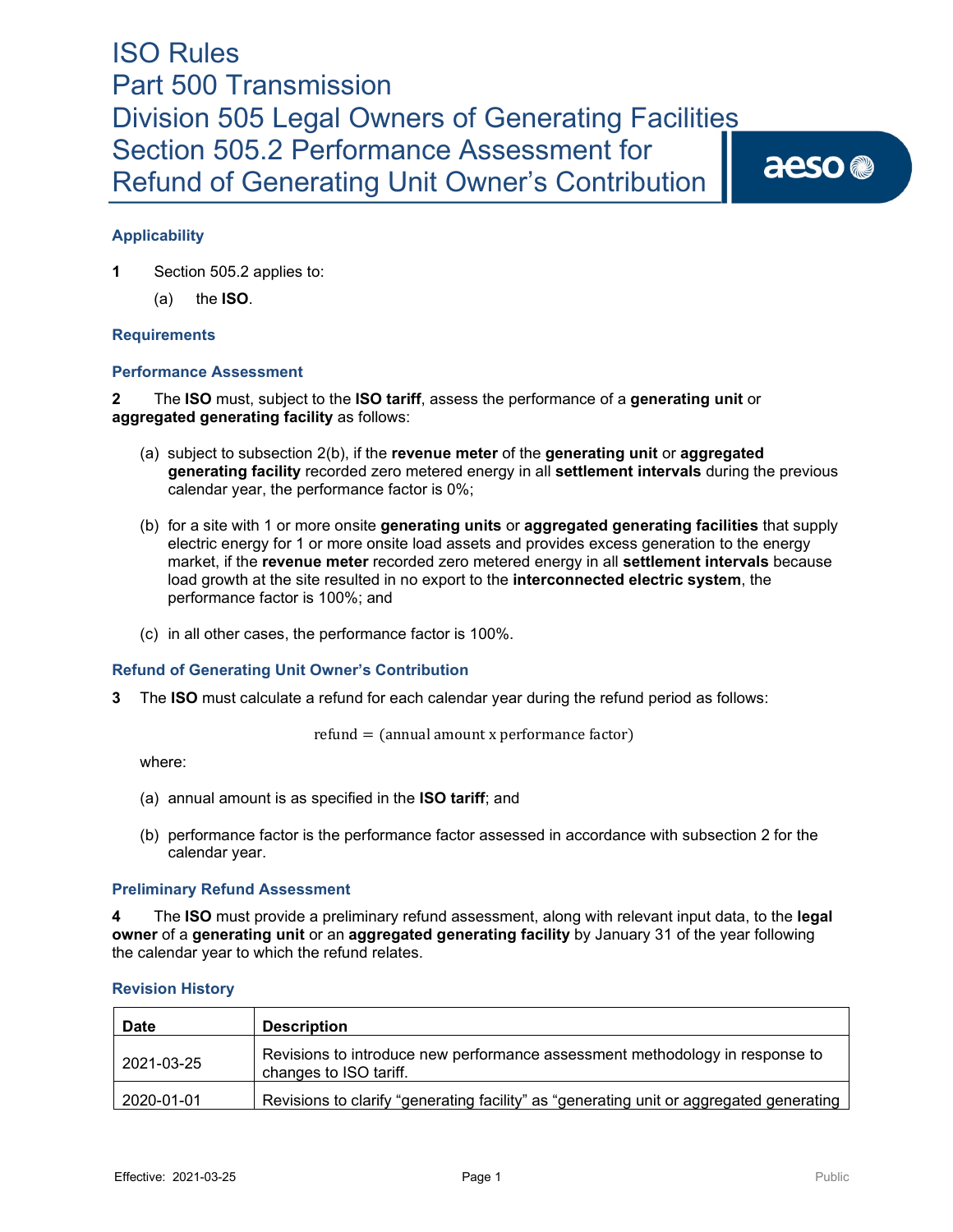# ISO Rules Part 500 Transmission Division 505 Legal Owners of Generating Facilities Section 505.2 Performance Assessment for Refund of Generating Unit Owner's Contribution

aeso<sup>®</sup>

### **Applicability**

**1** Section 505.2 applies to:

(a) the **ISO**.

#### **Requirements**

#### **Performance Assessment**

**2** The **ISO** must, subject to the **ISO tariff**, assess the performance of a **generating unit** or **aggregated generating facility** as follows:

- (a) subject to subsection 2(b), if the **revenue meter** of the **generating unit** or **aggregated generating facility** recorded zero metered energy in all **settlement intervals** during the previous calendar year, the performance factor is 0%;
- (b) for a site with 1 or more onsite **generating units** or **aggregated generating facilities** that supply electric energy for 1 or more onsite load assets and provides excess generation to the energy market, if the **revenue meter** recorded zero metered energy in all **settlement intervals** because load growth at the site resulted in no export to the **interconnected electric system**, the performance factor is 100%; and
- (c) in all other cases, the performance factor is 100%.

#### **Refund of Generating Unit Owner's Contribution**

**3** The **ISO** must calculate a refund for each calendar year during the refund period as follows:

$$
refund = (annual amount x performance factor)
$$

where:

- (a) annual amount is as specified in the **ISO tariff**; and
- (b) performance factor is the performance factor assessed in accordance with subsection 2 for the calendar year.

#### **Preliminary Refund Assessment**

**4** The **ISO** must provide a preliminary refund assessment, along with relevant input data, to the **legal owner** of a **generating unit** or an **aggregated generating facility** by January 31 of the year following the calendar year to which the refund relates.

| <b>Date</b> | <b>Description</b>                                                                                     |
|-------------|--------------------------------------------------------------------------------------------------------|
| 2021-03-25  | Revisions to introduce new performance assessment methodology in response to<br>changes to ISO tariff. |
| 2020-01-01  | Revisions to clarify "generating facility" as "generating unit or aggregated generating                |